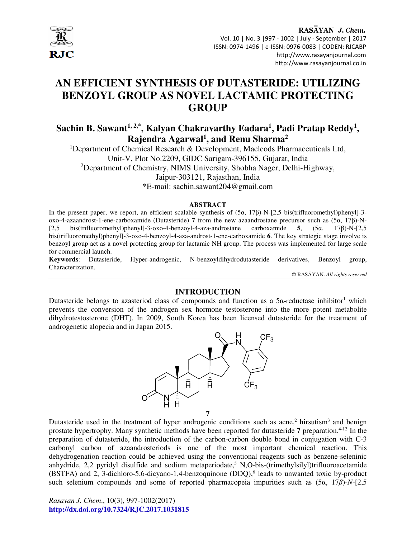

# **AN EFFICIENT SYNTHESIS OF DUTASTERIDE: UTILIZING BENZOYL GROUP AS NOVEL LACTAMIC PROTECTING GROUP**

**Sachin B. Sawant1, 2,\*, Kalyan Chakravarthy Eadara<sup>1</sup> , Padi Pratap Reddy<sup>1</sup> , Rajendra Agarwal<sup>1</sup> , and Renu Sharma<sup>2</sup>**

<sup>1</sup>Department of Chemical Research & Development, Macleods Pharmaceuticals Ltd, Unit-V, Plot No.2209, GIDC Sarigam-396155, Gujarat, India <sup>2</sup>Department of Chemistry, NIMS University, Shobha Nager, Delhi-Highway, Jaipur-303121, Rajasthan, India \*E-mail: sachin.sawant204@gmail.com

#### **ABSTRACT**

In the present paper, we report, an efficient scalable synthesis of  $(5\alpha, 17\beta)$ -N-[2,5 bis(trifluoromethyl)phenyl]-3oxo-4-azaandrost-1-ene-carboxamide (Dutasteride) **7** from the new azaandrostane precursor such as (5α, 17β)-N- [2,5 bis(trifluoromethyl)phenyl]-3-oxo-4-benzoyl-4-aza-androstane carboxamide **5**, (5α, 17β)-N-[2,5 bis(trifluoromethyl)phenyl]-3-oxo-4-benzoyl-4-aza-androst-1-ene-carboxamide **6**. The key strategic stage involve is benzoyl group act as a novel protecting group for lactamic NH group. The process was implemented for large scale for commercial launch.

**Keywords**: Dutasteride, Hyper-androgenic, N-benzoyldihydrodutasteride derivatives, Benzoyl group, Characterization.

© RASĀYAN. *All rights reserved*

## **INTRODUCTION**

Dutasteride belongs to azasteriod class of compounds and function as a  $5\alpha$ -reductase inhibitor<sup>1</sup> which prevents the conversion of the androgen sex hormone testosterone into the more potent metabolite dihydrotestosterone (DHT). In 2009, South Korea has been licensed dutasteride for the treatment of androgenetic alopecia and in Japan 2015.



Dutasteride used in the treatment of hyper androgenic conditions such as acne,<sup>2</sup> hirsutism<sup>3</sup> and benign prostate hypertrophy. Many synthetic methods have been reported for dutasteride **7** preparation.4-12 In the preparation of dutasteride, the introduction of the carbon-carbon double bond in conjugation with C-3 carbonyl carbon of azaandrosteriods is one of the most important chemical reaction. This dehydrogenation reaction could be achieved using the conventional reagents such as benzene-seleninic anhydride, 2,2 pyridyl disulfide and sodium metaperiodate,<sup>5</sup> N,O-bis-(trimethylsilyl)trifluoroacetamide (BSTFA) and 2, 3-dichloro-5,6-dicyano-1,4-benzoquinone (DDQ),<sup>6</sup> leads to unwanted toxic by-product such selenium compounds and some of reported pharmacopeia impurities such as (5α, 17*β*)-*N*-[2,5

*Rasayan J. Chem*., 10(3), 997-1002(2017) **http://dx.doi.org/10.7324/RJC.2017.1031815**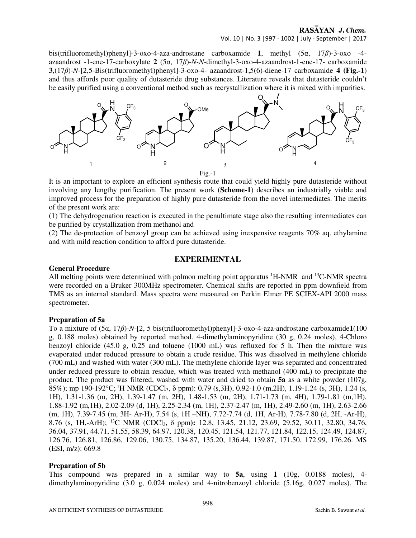Vol. 10 | No. 3 |997 - 1002 | July - September | 2017

bis(trifluoromethyl)phenyl]-3-oxo-4-aza-androstane carboxamide **1**, methyl (5α, 17*β*)-3-oxo -4 azaandrost -1-ene-17-carboxylate **2** (5α, 17*β*)-*N-N*-dimethyl-3-oxo-4-azaandrost-1-ene-17- carboxamide **3**,(17*β*)-*N*-[2,5-Bis(trifluoromethyl)phenyl]-3-oxo-4- azaandrost-1,5(6)-diene-17 carboxamide **4 (Fig.-1**) and thus affords poor quality of dutasteride drug substances. Literature reveals that dutasteride couldn't be easily purified using a conventional method such as recrystallization where it is mixed with impurities.



It is an important to explore an efficient synthesis route that could yield highly pure dutasteride without involving any lengthy purification. The present work (**Scheme-1**) describes an industrially viable and improved process for the preparation of highly pure dutasteride from the novel intermediates. The merits of the present work are:

(1) The dehydrogenation reaction is executed in the penultimate stage also the resulting intermediates can be purified by crystallization from methanol and

(2) The de-protection of benzoyl group can be achieved using inexpensive reagents 70% aq. ethylamine and with mild reaction condition to afford pure dutasteride.

## **EXPERIMENTAL**

### **General Procedure**

All melting points were determined with polmon melting point apparatus <sup>1</sup>H-NMR and <sup>13</sup>C-NMR spectra were recorded on a Bruker 300MHz spectrometer. Chemical shifts are reported in ppm downfield from TMS as an internal standard. Mass spectra were measured on Perkin Elmer PE SCIEX-API 2000 mass spectrometer.

#### **Preparation of 5a**

To a mixture of (5α, 17*β*)-*N*-[2, 5 bis(trifluoromethyl)phenyl]-3-oxo-4-aza-androstane carboxamide**1**(100 g, 0.188 moles) obtained by reported method. 4-dimethylaminopyridine (30 g, 0.24 moles), 4-Chloro benzoyl chloride (45.0 g, 0.25 and toluene (1000 mL) was refluxed for 5 h. Then the mixture was evaporated under reduced pressure to obtain a crude residue. This was dissolved in methylene chloride (700 mL) and washed with water (300 mL). The methylene chloride layer was separated and concentrated under reduced pressure to obtain residue, which was treated with methanol (400 mL) to precipitate the product. The product was filtered, washed with water and dried to obtain **5a** as a white powder (107g, 85%); mp 190-192°C; <sup>1</sup>H NMR (CDCl3, δ ppm): 0.79 (s,3H), 0.92-1.0 (m,2H), 1.19-1.24 (s, 3H), 1.24 (s, 1H), 1.31-1.36 (m, 2H), 1.39-1.47 (m, 2H), 1.48-1.53 (m, 2H), 1.71-1.73 (m, 4H), 1.79-1.81 (m,1H), 1.88-1.92 (m,1H), 2.02-2.09 (d, 1H), 2.25-2.34 (m, 1H), 2.37-2.47 (m, 1H), 2.49-2.60 (m, 1H), 2.63-2.66 (m, 1H), 7.39-7.45 (m, 3H- Ar-H), 7.54 (s, 1H –NH), 7.72-7.74 (d, 1H, Ar-H), 7.78-7.80 (d, 2H, -Ar-H), 8.76 (s, 1H,-ArH); <sup>13</sup>C NMR (CDCl3, δ ppm**):** 12.8, 13.45, 21.12, 23.69, 29.52, 30.11, 32.80, 34.76, 36.04, 37.91, 44.71, 51.55, 58.39, 64.97, 120.38, 120.45, 121.54, 121.77, 121.84, 122.15, 124.49, 124.87, 126.76, 126.81, 126.86, 129.06, 130.75, 134.87, 135.20, 136.44, 139.87, 171.50, 172.99, 176.26. MS (ESI, m/z): 669.8

#### **Preparation of 5b**

This compound was prepared in a similar way to **5a**, using **1** (10g, 0.0188 moles), 4 dimethylaminopyridine (3.0 g, 0.024 moles) and 4-nitrobenzoyl chloride (5.16g, 0.027 moles). The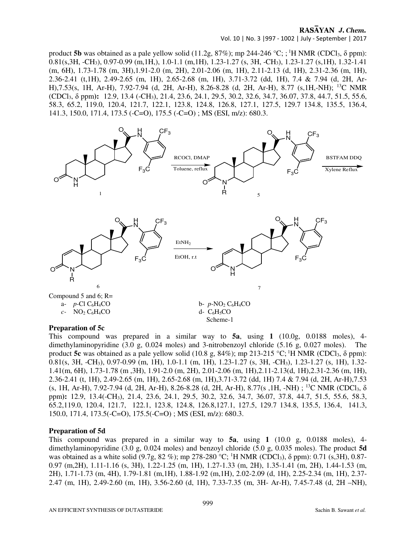Vol. 10 | No. 3 |997 - 1002 | July - September | 2017

product **5b** was obtained as a pale yellow solid (11.2g,  $87\%$ ); mp 244-246 °C; ; <sup>1</sup>H NMR (CDCl<sub>3</sub>,  $\delta$  ppm): 0.81(s,3H, -CH<sub>3</sub>), 0.97-0.99 (m,1H,), 1.0-1.1 (m,1H), 1.23-1.27 (s, 3H, -CH<sub>3</sub>), 1.23-1.27 (s,1H), 1.32-1.41 (m, 6H), 1.73-1.78 (m, 3H),1.91-2.0 (m, 2H), 2.01-2.06 (m, 1H), 2.11-2.13 (d, 1H), 2.31-2.36 (m, 1H), 2.36-2.41 (t,1H), 2.49-2.65 (m, 1H), 2.65-2.68 (m, 1H), 3.71-3.72 (dd, 1H), 7.4 & 7.94 (d, 2H, Ar-H),7.53(s, 1H, Ar-H), 7.92-7.94 (d, 2H, Ar-H), 8.26-8.28 (d, 2H, Ar-H), 8.77 (s,1H,-NH); <sup>13</sup>C NMR (CDCl3, δ ppm**):** 12.9, 13.4 (-CH3), 21.4, 23.6, 24.1, 29.5, 30.2, 32.6, 34.7, 36.07, 37.8, 44.7, 51.5, 55.6, 58.3, 65.2, 119.0, 120.4, 121.7, 122.1, 123.8, 124.8, 126.8, 127.1, 127.5, 129.7 134.8, 135.5, 136.4, 141.3, 150.0, 171.4, 173.5 (-C=O), 175.5 (-C=O) ; MS (ESI, m/z): 680.3.



## **Preparation of 5c**

This compound was prepared in a similar way to **5a**, using **1** (10.0g, 0.0188 moles), 4 dimethylaminopyridine (3.0 g, 0.024 moles) and 3-nitrobenzoyl chloride (5.16 g, 0.027 moles). The product **5c** was obtained as a pale yellow solid (10.8 g, 84%); mp 213-215 °C; <sup>1</sup>H NMR (CDCl<sub>3</sub>,  $\delta$  ppm): 0.81(s, 3H, -CH3), 0.97-0.99 (m, 1H), 1.0-1.1 (m, 1H), 1.23-1.27 (s, 3H, -CH3), 1.23-1.27 (s, 1H), 1.32- 1.41(m, 6H), 1.73-1.78 (m ,3H), 1.91-2.0 (m, 2H), 2.01-2.06 (m, 1H),2.11-2.13(d, 1H),2.31-2.36 (m, 1H), 2.36-2.41 (t, 1H), 2.49-2.65 (m, 1H), 2.65-2.68 (m, 1H),3.71-3.72 (dd, 1H) 7.4 & 7.94 (d, 2H, Ar-H),7.53 (s, 1H, Ar-H), 7.92-7.94 (d, 2H, Ar-H), 8.26-8.28 (d, 2H, Ar-H), 8.77(s, 1H, -NH) ; <sup>13</sup>C NMR (CDCl<sub>3</sub>,  $\delta$ ppm**):** 12.9, 13.4(-CH3), 21.4, 23.6, 24.1, 29.5, 30.2, 32.6, 34.7, 36.07, 37.8, 44.7, 51.5, 55.6, 58.3, 65.2,119.0, 120.4, 121.7, 122.1, 123.8, 124.8, 126.8,127.1, 127.5, 129.7 134.8, 135.5, 136.4, 141.3, 150.0, 171.4, 173.5(-C=O), 175.5(-C=O) ; MS (ESI, m/z): 680.3.

#### **Preparation of 5d**

This compound was prepared in a similar way to **5a**, using **1** (10.0 g, 0.0188 moles), 4 dimethylaminopyridine (3.0 g, 0.024 moles) and benzoyl chloride (5.0 g, 0.035 moles). The product **5d** was obtained as a white solid (9.7g, 82 %); mp 278-280 °C; <sup>1</sup>H NMR (CDCl<sub>3</sub>),  $\delta$  ppm): 0.71 (s,3H), 0.87-0.97 (m,2H), 1.11-1.16 (s, 3H), 1.22-1.25 (m, 1H), 1.27-1.33 (m, 2H), 1.35-1.41 (m, 2H), 1.44-1.53 (m, 2H), 1.71-1.73 (m, 4H), 1.79-1.81 (m,1H), 1.88-1.92 (m,1H), 2.02-2.09 (d, 1H), 2.25-2.34 (m, 1H), 2.37- 2.47 (m, 1H), 2.49-2.60 (m, 1H), 3.56-2.60 (d, 1H), 7.33-7.35 (m, 3H- Ar-H), 7.45-7.48 (d, 2H –NH),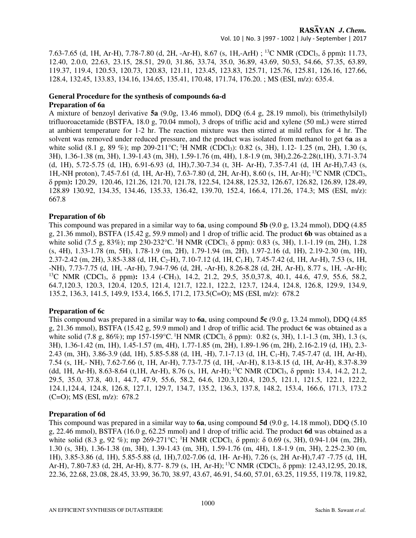Vol. 10 | No. 3 |997 - 1002 | July - September | 2017

7.63-7.65 (d, 1H, Ar-H), 7.78-7.80 (d, 2H, -Ar-H), 8.67 (s, 1H,-ArH) ; <sup>13</sup>C NMR (CDCl3, δ ppm**):** 11.73, 12.40, 2.0.0, 22.63, 23.15, 28.51, 29.0, 31.86, 33.74, 35.0, 36.89, 43.69, 50.53, 54.66, 57.35, 63.89, 119.37, 119.4, 120.53, 120.73, 120.83, 121.11, 123.45, 123.83, 125.71, 125.76, 125.81, 126.16, 127.66, 128.4, 132.45, 133.83, 134.16, 134.65, 135.41, 170.48, 171.74, 176.20. ; MS (ESI, m/z): 635.4.

#### **General Procedure for the synthesis of compounds 6a-d Preparation of 6a**

A mixture of benzoyl derivative **5a** (9.0g, 13.46 mmol), DDQ (6.4 g, 28.19 mmol), bis (trimethylsilyl) trifluoroacetamide (BSTFA, 18.0 g, 70.04 mmol), 3 drops of triflic acid and xylene (50 mL) were stirred at ambient temperature for 1-2 hr. The reaction mixture was then stirred at mild reflux for 4 hr. The solvent was removed under reduced pressure, and the product was isolated from methanol to get 6**a** as a white solid (8.1 g, 89 %); mp 209-211 °C; <sup>1</sup>H NMR (CDCl<sub>3</sub>): 0.82 (s, 3H), 1.12- 1.25 (m, 2H), 1.30 (s, 3H), 1.36-1.38 (m, 3H), 1.39-1.43 (m, 3H), 1.59-1.76 (m, 4H), 1.8-1.9 (m, 3H),2.26-2.28(t,1H), 3.71-3.74 (d, 1H), 5.72-5.75 (d, 1H), 6.91-6.93 (d, 1H),7.30-7.34 (t, 3H- Ar-H), 7.35-7.41 (d, 1H Ar-H),7.43 (s, 1H,-NH proton), 7.45-7.61 (d, 1H, Ar-H), 7.63-7.80 (d, 2H, Ar-H), 8.60 (s, 1H, Ar-H);<sup>13</sup>C NMR (CDCl3, δ ppm**):** 120.29, 120.46, 121.26, 121.70, 121.78, 122.54, 124.88, 125.32, 126.67, 126.82, 126.89, 128.49, 128.89 130.92, 134.35, 134.46, 135.33, 136.42, 139.70, 152.4, 166.4, 171.26, 174.3; MS (ESI, m/z): 667.8

# **Preparation of 6b**

This compound was prepared in a similar way to 6**a**, using compound **5b** (9.0 g, 13.24 mmol), DDQ (4.85 g, 21.36 mmol), BSTFA (15.42 g, 59.9 mmol) and 1 drop of triflic acid. The product **6b** was obtained as a white solid (7.5 g, 83%); mp 230-232 °C. <sup>1</sup>H NMR (CDCl<sub>3</sub>,  $\delta$  ppm): 0.83 (s, 3H), 1.1-1.19 (m, 2H), 1.28 (s, 4H), 1.33-1.78 (m, 5H), 1.78-1.9 (m, 2H), 1.79-1.94 (m, 2H), 1.97-2.16 (d, 1H), 2.19-2.30 (m, 1H), 2.37-2.42 (m, 2H), 3.85-3.88 (d, 1H, C<sub>2</sub>-H), 7.10-7.12 (d, 1H, C<sub>1</sub>-H), 7.45-7.42 (d, 1H, Ar-H), 7.53 (s, 1H, -NH), 7.73-7.75 (d, 1H, -Ar-H), 7.94-7.96 (d, 2H, -Ar-H), 8.26-8.28 (d, 2H, Ar-H), 8.77 s, 1H, -Ar-H); <sup>13</sup>C NMR (CDCl<sub>3</sub>, δ ppm): 13.4 (-CH<sub>3</sub>), 14.2, 21.2, 29.5, 35.0,37.8, 40.1, 44.6, 47.9, 55.6, 58.2, 64.7,120.3, 120.3, 120.4, 120.5, 121.4, 121.7, 122.1, 122.2, 123.7, 124.4, 124.8, 126.8, 129.9, 134.9, 135.2, 136.3, 141.5, 149.9, 153.4, 166.5, 171.2, 173.5(C=O); MS (ESI, m/z): 678.2

## **Preparation of 6c**

This compound was prepared in a similar way to **6a**, using compound **5c** (9.0 g, 13.24 mmol), DDQ (4.85 g, 21.36 mmol), BSTFA (15.42 g, 59.9 mmol) and 1 drop of triflic acid. The product 6**c** was obtained as a white solid (7.8 g, 86%); mp 157-159 °C. <sup>1</sup>H NMR (CDCl<sub>3</sub>,  $\delta$  ppm): 0.82 (s, 3H), 1.1-1.3 (m, 3H), 1.3 (s, 3H), 1.36-1.42 (m, 1H), 1.45-1.57 (m, 4H), 1.77-1.85 (m, 2H), 1.89-1.96 (m, 2H), 2.16-2.19 (d, 1H), 2.3- 2.43 (m, 3H), 3.86-3.9 (dd, 1H), 5.85-5.88 (d, 1H, -H), 7.1-7.13 (d, 1H, C1-H), 7.45-7.47 (d, 1H, Ar-H), 7.54 (s, 1H,- NH), 7.62-7.66 (t, 1H, Ar-H), 7.73-7.75 (d, 1H, -Ar-H), 8.13-8.15 (d, 1H, Ar-H), 8.37-8.39 (dd, 1H, Ar-H), 8.63-8.64 (t,1H, Ar-H), 8.76 (s, 1H, Ar-H);<sup>13</sup>C NMR (CDCl3, δ ppm**):** 13.4, 14.2, 21.2, 29.5, 35.0, 37.8, 40.1, 44.7, 47.9, 55.6, 58.2, 64.6, 120.3,120.4, 120.5, 121.1, 121.5, 122.1, 122.2, 124.1,124.4, 124.8, 126.8, 127.1, 129.7, 134.7, 135.2, 136.3, 137.8, 148.2, 153.4, 166.6, 171.3, 173.2 (C=O); MS (ESI, m/z): 678.2

## **Preparation of 6d**

This compound was prepared in a similar way to **6a**, using compound **5d** (9.0 g, 14.18 mmol), DDQ (5.10 g, 22.46 mmol), BSTFA (16.0 g, 62.25 mmol) and 1 drop of triflic acid. The product **6d** was obtained as a white solid (8.3 g, 92 %); mp 269-271 °C; <sup>1</sup>H NMR (CDCl<sub>3</sub>, δ ppm): δ 0.69 (s, 3H), 0.94-1.04 (m, 2H), 1.30 (s, 3H), 1.36-1.38 (m, 3H), 1.39-1.43 (m, 3H), 1.59-1.76 (m, 4H), 1.8-1.9 (m, 3H), 2.25-2.30 (m, 1H), 3.85-3.86 (d, 1H), 5.85-5.88 (d, 1H),7.02-7.06 (d, 1H- Ar-H), 7.26 (s, 2H Ar-H),7.47 -7.75 (d, 1H, Ar-H), 7.80-7.83 (d, 2H, Ar-H), 8.77- 8.79 (s, 1H, Ar-H);<sup>13</sup>C NMR (CDCl3, δ ppm**)**: 12.43,12.95, 20.18, 22.36, 22.68, 23.08, 28.45, 33.99, 36.70, 38.97, 43.67, 46.91, 54.60, 57.01, 63.25, 119.55, 119.78, 119.82,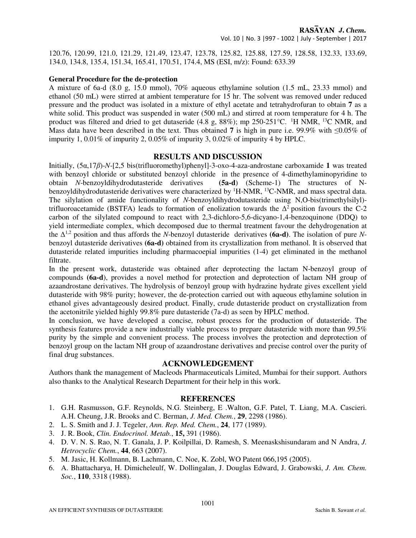120.76, 120.99, 121.0, 121.29, 121.49, 123.47, 123.78, 125.82, 125.88, 127.59, 128.58, 132.33, 133.69, 134.0, 134.8, 135.4, 151.34, 165.41, 170.51, 174.4, MS (ESI, m/z): Found: 633.39

## **General Procedure for the de-protection**

A mixture of 6a-d (8.0 g, 15.0 mmol), 70% aqueous ethylamine solution (1.5 mL, 23.33 mmol) and ethanol (50 mL) were stirred at ambient temperature for 15 hr. The solvent was removed under reduced pressure and the product was isolated in a mixture of ethyl acetate and tetrahydrofuran to obtain **7** as a white solid. This product was suspended in water (500 mL) and stirred at room temperature for 4 h. The product was filtered and dried to get dutaseride (4.8 g, 88%); mp 250-251 °C. <sup>1</sup>H NMR, <sup>13</sup>C NMR, and Mass data have been described in the text. Thus obtained 7 is high in pure i.e. 99.9% with  $\leq 0.05\%$  of impurity 1, 0.01% of impurity 2, 0.05% of impurity 3, 0.02% of impurity 4 by HPLC.

## **RESULTS AND DISCUSSION**

Initially, (5α,17*β*)-*N*-[2,5 bis(trifluoromethyl)phenyl]-3-oxo-4-aza-androstane carboxamide **1** was treated with benzoyl chloride or substituted benzoyl chloride in the presence of 4-dimethylaminopyridine to obtain *N*-benzoyldihydrodutasteride derivatives **(5a-d**) (Scheme-1) The structures of Nbenzoyldihydrodutasteride derivatives were characterized by <sup>1</sup>H-NMR, <sup>13</sup>C-NMR, and mass spectral data. The silylation of amide functionality of *N*-benzoyldihydrodutasteride using N,O-bis(trimethylsilyl) trifluoroacetamide (BSTFA) leads to formation of enolization towards the  $\Delta^2$  position favours the C-2 carbon of the silylated compound to react with 2,3-dichloro-5,6-dicyano-1,4-benzoquinone (DDQ) to yield intermediate complex, which decomposed due to thermal treatment favour the dehydrogenation at the ∆ 1,2 position and thus affords the *N*-benzoyl dutasteride derivatives **(6a-d)**. The isolation of pure *N*benzoyl dutasteride derivatives **(6a-d)** obtained from its crystallization from methanol. It is observed that dutasteride related impurities including pharmacoepial impurities (1-4) get eliminated in the methanol filtrate.

In the present work, dutasteride was obtained after deprotecting the lactam N-benzoyl group of compounds **(6a-d**), provides a novel method for protection and deprotection of lactam NH group of azaandrostane derivatives. The hydrolysis of benzoyl group with hydrazine hydrate gives excellent yield dutasteride with 98% purity; however, the de-protection carried out with aqueous ethylamine solution in ethanol gives advantageously desired product. Finally, crude dutasteride product on crystallization from the acetonitrile yielded highly 99.8% pure dutasteride (7a-d) as seen by HPLC method.

In conclusion, we have developed a concise, robust process for the production of dutasteride. The synthesis features provide a new industrially viable process to prepare dutasteride with more than 99.5% purity by the simple and convenient process. The process involves the protection and deprotection of benzoyl group on the lactam NH group of azaandrostane derivatives and precise control over the purity of final drug substances.

## **ACKNOWLEDGEMENT**

Authors thank the management of Macleods Pharmaceuticals Limited, Mumbai for their support. Authors also thanks to the Analytical Research Department for their help in this work.

#### **REFERENCES**

- 1. G.H. Rasmusson, G.F. Reynolds, N.G. Steinberg, E .Walton, G.F. Patel, T. Liang, M.A. Cascieri. A.H. Cheung, J.R. Brooks and C. Berman, *J. Med. Chem.*, **29**, 2298 (1986).
- 2. L. S. Smith and J. J. Tegeler, *Ann. Rep. Med. Chem.*, **24**, 177 (1989).
- 3. J. R. Book, *Clin. Endocrinol. Metab.*, **15,** 391 (1986).
- 4. D. V. N. S. Rao, N. T. Ganala, J. P. Koilpillai, D. Ramesh, S. Meenaskshisundaram and N Andra, *J. Hetrocyclic Chem.*, **44**, 663 (2007).
- 5. M. Jasic, H. Kollmann, B. Lachmann, C. Noe, K. Zobl, WO Patent 066,195 (2005).
- 6. A. Bhattacharya, H. Dimicheleulf, W. Dollingalan, J. Douglas Edward, J. Grabowski, *J. Am. Chem. Soc.*, **110**, 3318 (1988).